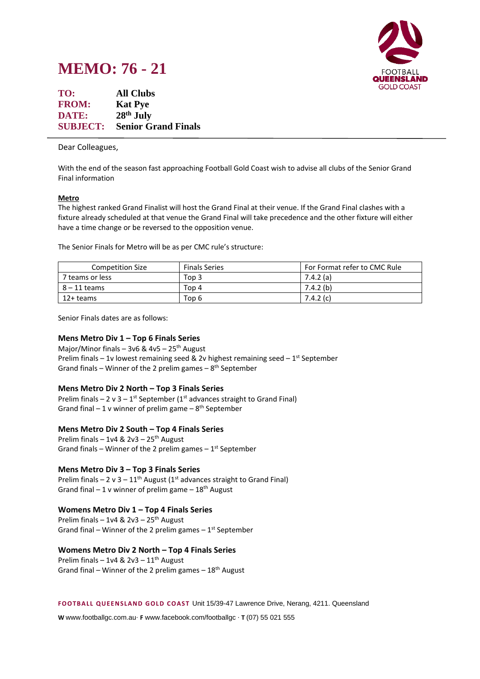# **MEMO: 76 - 21**



| TO:             | <b>All Clubs</b>           |
|-----------------|----------------------------|
| <b>FROM:</b>    | <b>Kat Pye</b>             |
| DATE:           | 28 <sup>th</sup> July      |
| <b>SUBJECT:</b> | <b>Senior Grand Finals</b> |

## Dear Colleagues,

With the end of the season fast approaching Football Gold Coast wish to advise all clubs of the Senior Grand Final information

## **Metro**

The highest ranked Grand Finalist will host the Grand Final at their venue. If the Grand Final clashes with a fixture already scheduled at that venue the Grand Final will take precedence and the other fixture will either have a time change or be reversed to the opposition venue.

The Senior Finals for Metro will be as per CMC rule's structure:

| <b>Competition Size</b> | <b>Finals Series</b> | For Format refer to CMC Rule |
|-------------------------|----------------------|------------------------------|
| 7 teams or less         | Top 3                | 7.4.2 (a)                    |
| $8 - 11$ teams          | Top 4                | 7.4.2(b)                     |
| 12+ teams               | Top 6                | 7.4.2(c)                     |

Senior Finals dates are as follows:

#### **Mens Metro Div 1 – Top 6 Finals Series**

Major/Minor finals –  $3v6 & 4v5 - 25$ <sup>th</sup> August Prelim finals  $-1v$  lowest remaining seed & 2v highest remaining seed  $-1<sup>st</sup>$  September Grand finals  $-$  Winner of the 2 prelim games  $-8$ <sup>th</sup> September

#### **Mens Metro Div 2 North – Top 3 Finals Series**

Prelim finals  $-2$  v 3  $-1$ <sup>st</sup> September (1<sup>st</sup> advances straight to Grand Final) Grand final  $-1$  v winner of prelim game  $-8$ <sup>th</sup> September

#### **Mens Metro Div 2 South – Top 4 Finals Series**

Prelim finals – 1v4 &  $2v3 - 25$ <sup>th</sup> August Grand finals - Winner of the 2 prelim games  $-1$ <sup>st</sup> September

## **Mens Metro Div 3 – Top 3 Finals Series**

Prelim finals – 2 v 3 –  $11^{th}$  August ( $1^{st}$  advances straight to Grand Final) Grand final – 1 v winner of prelim game –  $18<sup>th</sup>$  August

## **Womens Metro Div 1 – Top 4 Finals Series**

Prelim finals –  $1v4 & 2v3 - 25<sup>th</sup>$  August Grand final – Winner of the 2 prelim games  $-1$ <sup>st</sup> September

#### **Womens Metro Div 2 North – Top 4 Finals Series**

Prelim finals –  $1v4 & 2v3 - 11$ <sup>th</sup> August Grand final – Winner of the 2 prelim games –  $18<sup>th</sup>$  August

**FOOTB ALL QUEEN SLAND G OLD COAST** Unit 15/39-47 Lawrence Drive, Nerang, 4211. Queensland

**W** www.footballgc.com.au. **F** www.facebook.com/footballgc . **T** (07) 55 021 555